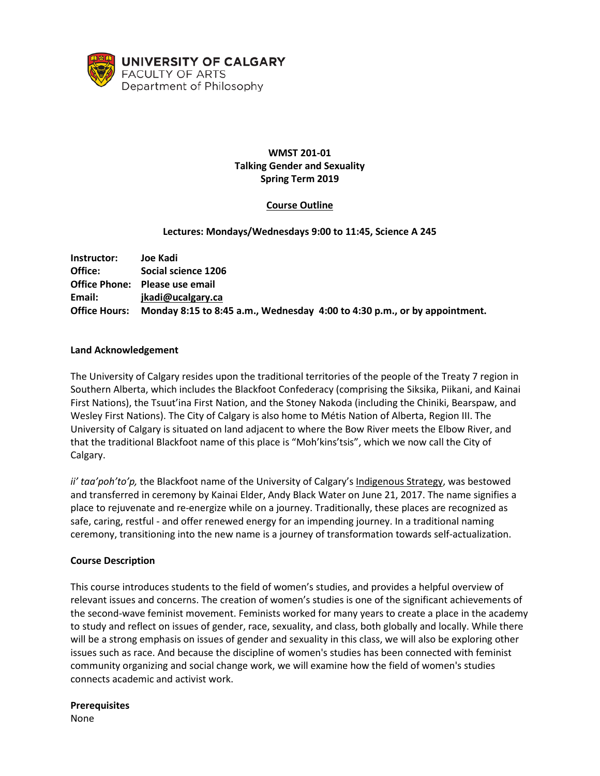

# **WMST 201-01 Talking Gender and Sexuality Spring Term 2019**

# **Course Outline**

### **Lectures: Mondays/Wednesdays 9:00 to 11:45, Science A 245**

| Instructor:          | Joe Kadi                                                                  |
|----------------------|---------------------------------------------------------------------------|
| Office:              | Social science 1206                                                       |
|                      | Office Phone: Please use email                                            |
| Email:               | jkadi@ucalgary.ca                                                         |
| <b>Office Hours:</b> | Monday 8:15 to 8:45 a.m., Wednesday 4:00 to 4:30 p.m., or by appointment. |

#### **Land Acknowledgement**

The University of Calgary resides upon the traditional territories of the people of the Treaty 7 region in Southern Alberta, which includes the Blackfoot Confederacy (comprising the Siksika, Piikani, and Kainai First Nations), the Tsuut'ina First Nation, and the Stoney Nakoda (including the Chiniki, Bearspaw, and Wesley First Nations). The City of Calgary is also home to Métis Nation of Alberta, Region III. The University of Calgary is situated on land adjacent to where the Bow River meets the Elbow River, and that the traditional Blackfoot name of this place is "Moh'kins'tsis", which we now call the City of Calgary.

ii' taa'poh'to'p, the Blackfoot name of the University of Calgary's [Indigenous Strategy,](https://www.ucalgary.ca/indigenous-strategy/together-good-way) was bestowed and transferred in ceremony by Kainai Elder, Andy Black Water on June 21, 2017. The name signifies a place to rejuvenate and re-energize while on a journey. Traditionally, these places are recognized as safe, caring, restful - and offer renewed energy for an impending journey. In a traditional naming ceremony, transitioning into the new name is a journey of transformation towards self-actualization.

#### **Course Description**

This course introduces students to the field of women's studies, and provides a helpful overview of relevant issues and concerns. The creation of women's studies is one of the significant achievements of the second-wave feminist movement. Feminists worked for many years to create a place in the academy to study and reflect on issues of gender, race, sexuality, and class, both globally and locally. While there will be a strong emphasis on issues of gender and sexuality in this class, we will also be exploring other issues such as race. And because the discipline of women's studies has been connected with feminist community organizing and social change work, we will examine how the field of women's studies connects academic and activist work.

**Prerequisites** None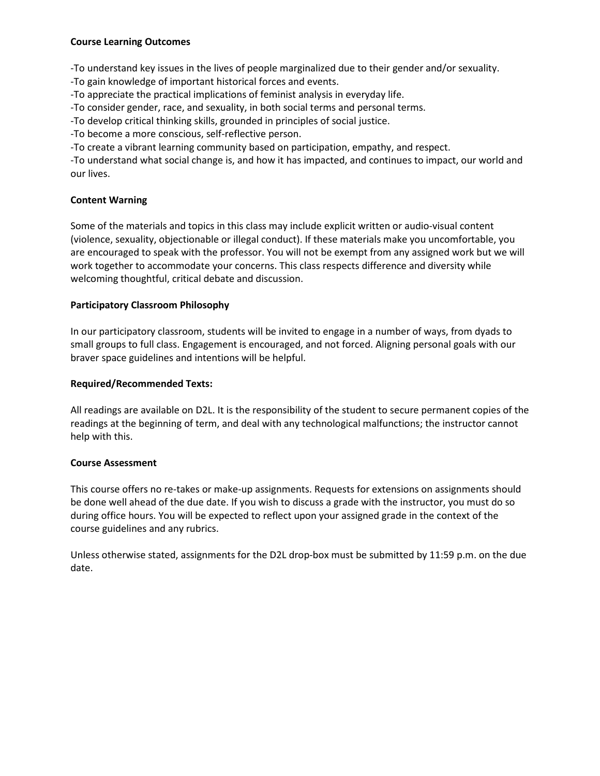### **Course Learning Outcomes**

-To understand key issues in the lives of people marginalized due to their gender and/or sexuality.

-To gain knowledge of important historical forces and events.

-To appreciate the practical implications of feminist analysis in everyday life.

-To consider gender, race, and sexuality, in both social terms and personal terms.

-To develop critical thinking skills, grounded in principles of social justice.

-To become a more conscious, self-reflective person.

-To create a vibrant learning community based on participation, empathy, and respect.

-To understand what social change is, and how it has impacted, and continues to impact, our world and our lives.

### **Content Warning**

Some of the materials and topics in this class may include explicit written or audio-visual content (violence, sexuality, objectionable or illegal conduct). If these materials make you uncomfortable, you are encouraged to speak with the professor. You will not be exempt from any assigned work but we will work together to accommodate your concerns. This class respects difference and diversity while welcoming thoughtful, critical debate and discussion.

# **Participatory Classroom Philosophy**

In our participatory classroom, students will be invited to engage in a number of ways, from dyads to small groups to full class. Engagement is encouraged, and not forced. Aligning personal goals with our braver space guidelines and intentions will be helpful.

### **Required/Recommended Texts:**

All readings are available on D2L. It is the responsibility of the student to secure permanent copies of the readings at the beginning of term, and deal with any technological malfunctions; the instructor cannot help with this.

### **Course Assessment**

This course offers no re-takes or make-up assignments. Requests for extensions on assignments should be done well ahead of the due date. If you wish to discuss a grade with the instructor, you must do so during office hours. You will be expected to reflect upon your assigned grade in the context of the course guidelines and any rubrics.

Unless otherwise stated, assignments for the D2L drop-box must be submitted by 11:59 p.m. on the due date.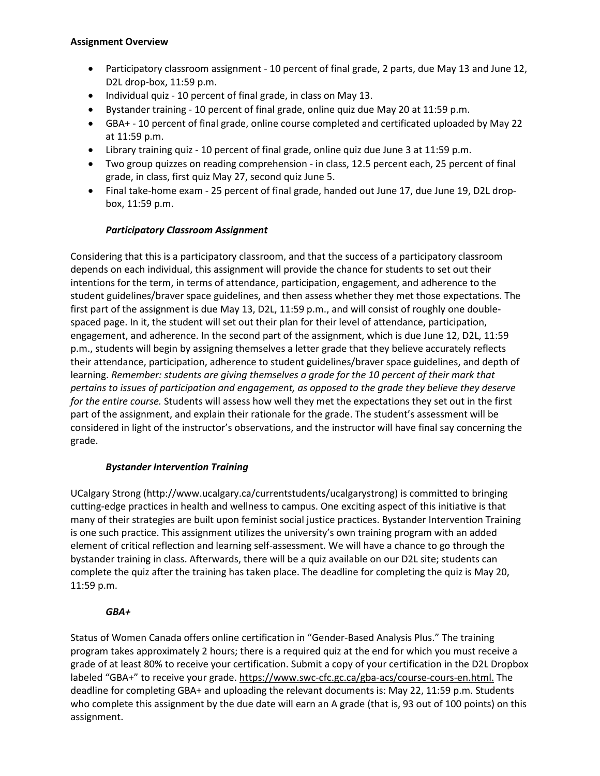### **Assignment Overview**

- Participatory classroom assignment 10 percent of final grade, 2 parts, due May 13 and June 12, D2L drop-box, 11:59 p.m.
- Individual quiz 10 percent of final grade, in class on May 13.
- Bystander training 10 percent of final grade, online quiz due May 20 at 11:59 p.m.
- GBA+ 10 percent of final grade, online course completed and certificated uploaded by May 22 at 11:59 p.m.
- Library training quiz 10 percent of final grade, online quiz due June 3 at 11:59 p.m.
- Two group quizzes on reading comprehension in class, 12.5 percent each, 25 percent of final grade, in class, first quiz May 27, second quiz June 5.
- Final take-home exam 25 percent of final grade, handed out June 17, due June 19, D2L dropbox, 11:59 p.m.

# *Participatory Classroom Assignment*

Considering that this is a participatory classroom, and that the success of a participatory classroom depends on each individual, this assignment will provide the chance for students to set out their intentions for the term, in terms of attendance, participation, engagement, and adherence to the student guidelines/braver space guidelines, and then assess whether they met those expectations. The first part of the assignment is due May 13, D2L, 11:59 p.m., and will consist of roughly one doublespaced page. In it, the student will set out their plan for their level of attendance, participation, engagement, and adherence. In the second part of the assignment, which is due June 12, D2L, 11:59 p.m., students will begin by assigning themselves a letter grade that they believe accurately reflects their attendance, participation, adherence to student guidelines/braver space guidelines, and depth of learning. *Remember: students are giving themselves a grade for the 10 percent of their mark that pertains to issues of participation and engagement, as opposed to the grade they believe they deserve for the entire course.* Students will assess how well they met the expectations they set out in the first part of the assignment, and explain their rationale for the grade. The student's assessment will be considered in light of the instructor's observations, and the instructor will have final say concerning the grade.

### *Bystander Intervention Training*

UCalgary Strong (http://www.ucalgary.ca/currentstudents/ucalgarystrong) is committed to bringing cutting-edge practices in health and wellness to campus. One exciting aspect of this initiative is that many of their strategies are built upon feminist social justice practices. Bystander Intervention Training is one such practice. This assignment utilizes the university's own training program with an added element of critical reflection and learning self-assessment. We will have a chance to go through the bystander training in class. Afterwards, there will be a quiz available on our D2L site; students can complete the quiz after the training has taken place. The deadline for completing the quiz is May 20, 11:59 p.m.

### *GBA+*

Status of Women Canada offers online certification in "Gender-Based Analysis Plus." The training program takes approximately 2 hours; there is a required quiz at the end for which you must receive a grade of at least 80% to receive your certification. Submit a copy of your certification in the D2L Dropbox labeled "GBA+" to receive your grade. [https://www.swc-cfc.gc.ca/gba-acs/course-cours-en.html.](https://www.swc-cfc.gc.ca/gba-acs/course-cours-en.html) The deadline for completing GBA+ and uploading the relevant documents is: May 22, 11:59 p.m. Students who complete this assignment by the due date will earn an A grade (that is, 93 out of 100 points) on this assignment.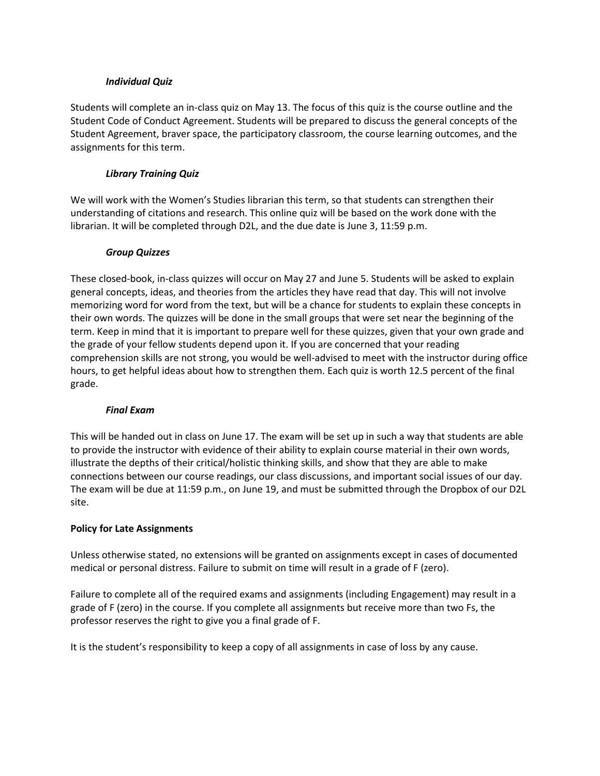#### *Individual Quiz*

Students will complete an in-class quiz on May 13. The focus of this quiz is the course outline and the Student Code of Conduct Agreement. Students will be prepared to discuss the general concepts of the Student Agreement, braver space, the participatory classroom, the course learning outcomes, and the assignments for this term.

### *Library Training Quiz*

We will work with the Women's Studies librarian this term, so that students can strengthen their understanding of citations and research. This online quiz will be based on the work done with the librarian. It will be completed through D2L, and the due date is June 3, 11:59 p.m.

### *Group Quizzes*

These closed-book, in-class quizzes will occur on May 27 and June 5. Students will be asked to explain general concepts, ideas, and theories from the articles they have read that day. This will not involve memorizing word for word from the text, but will be a chance for students to explain these concepts in their own words. The quizzes will be done in the small groups that were set near the beginning of the term. Keep in mind that it is important to prepare well for these quizzes, given that your own grade and the grade of your fellow students depend upon it. If you are concerned that your reading comprehension skills are not strong, you would be well-advised to meet with the instructor during office hours, to get helpful ideas about how to strengthen them. Each quiz is worth 12.5 percent of the final grade.

### *Final Exam*

This will be handed out in class on June 17. The exam will be set up in such a way that students are able to provide the instructor with evidence of their ability to explain course material in their own words, illustrate the depths of their critical/holistic thinking skills, and show that they are able to make connections between our course readings, our class discussions, and important social issues of our day. The exam will be due at 11:59 p.m., on June 19, and must be submitted through the Dropbox of our D2L site.

### **Policy for Late Assignments**

Unless otherwise stated, no extensions will be granted on assignments except in cases of documented medical or personal distress. Failure to submit on time will result in a grade of F (zero).

Failure to complete all of the required exams and assignments (including Engagement) may result in a grade of F (zero) in the course. If you complete all assignments but receive more than two Fs, the professor reserves the right to give you a final grade of F.

It is the student's responsibility to keep a copy of all assignments in case of loss by any cause.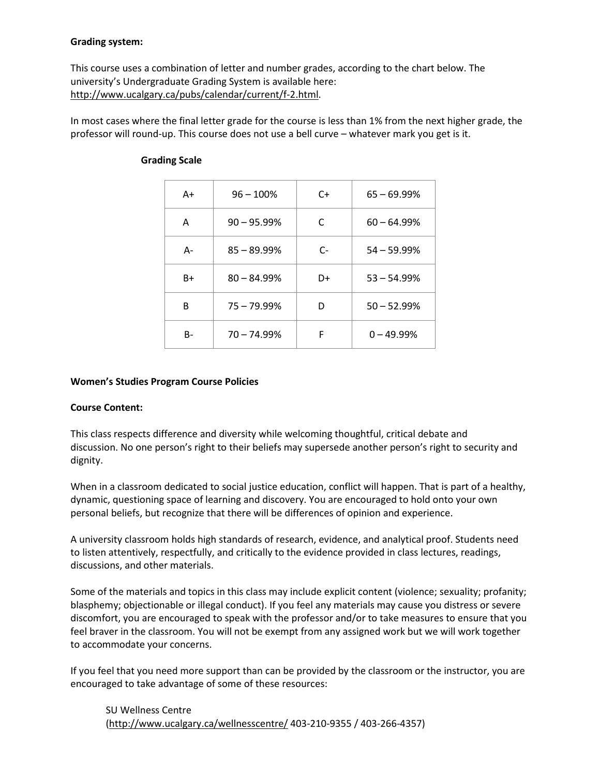### **Grading system:**

This course uses a combination of letter and number grades, according to the chart below. The university's Undergraduate Grading System is available here: [http://www.ucalgary.ca/pubs/calendar/current/f-2.html.](http://www.ucalgary.ca/pubs/calendar/current/f-2.html)

In most cases where the final letter grade for the course is less than 1% from the next higher grade, the professor will round-up. This course does not use a bell curve – whatever mark you get is it.

| A+   | $96 - 100%$    | $C+$ | $65 - 69.99%$ |
|------|----------------|------|---------------|
| Α    | $90 - 95.99\%$ | C    | $60 - 64.99%$ |
| А-   | $85 - 89.99%$  | $C-$ | $54 - 59.99%$ |
| $B+$ | $80 - 84.99%$  | D+   | $53 - 54.99%$ |
| В    | $75 - 79.99%$  | D    | $50 - 52.99%$ |
| B-   | $70 - 74.99%$  | F    | $0 - 49.99%$  |

# **Grading Scale**

#### **Women's Studies Program Course Policies**

### **Course Content:**

This class respects difference and diversity while welcoming thoughtful, critical debate and discussion. No one person's right to their beliefs may supersede another person's right to security and dignity.

When in a classroom dedicated to social justice education, conflict will happen. That is part of a healthy, dynamic, questioning space of learning and discovery. You are encouraged to hold onto your own personal beliefs, but recognize that there will be differences of opinion and experience.

A university classroom holds high standards of research, evidence, and analytical proof. Students need to listen attentively, respectfully, and critically to the evidence provided in class lectures, readings, discussions, and other materials.

Some of the materials and topics in this class may include explicit content (violence; sexuality; profanity; blasphemy; objectionable or illegal conduct). If you feel any materials may cause you distress or severe discomfort, you are encouraged to speak with the professor and/or to take measures to ensure that you feel braver in the classroom. You will not be exempt from any assigned work but we will work together to accommodate your concerns.

If you feel that you need more support than can be provided by the classroom or the instructor, you are encouraged to take advantage of some of these resources:

SU Wellness Centre [\(http://www.ucalgary.ca/wellnesscentre/](http://www.ucalgary.ca/wellnesscentre/) 403-210-9355 / 403-266-4357)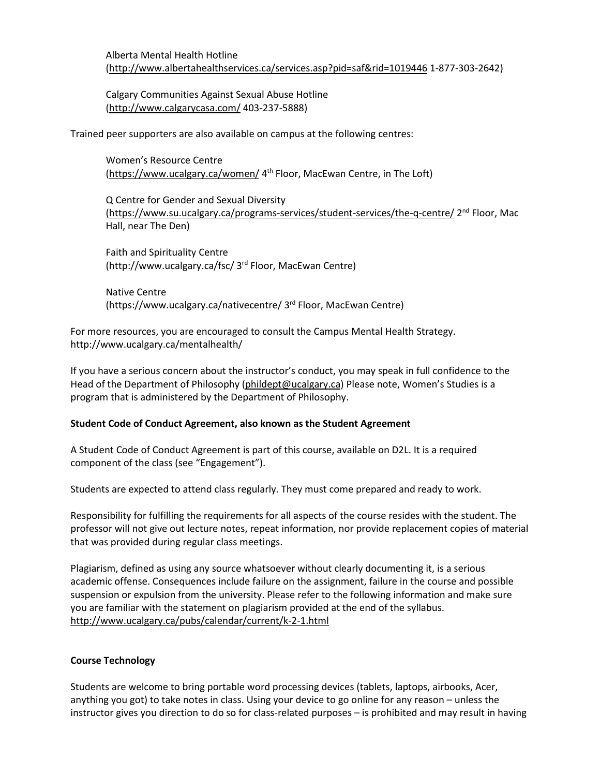Calgary Communities Against Sexual Abuse Hotline [\(http://www.calgarycasa.com/](http://www.calgarycasa.com/) 403-237-5888)

Trained peer supporters are also available on campus at the following centres:

Women's Resource Centre [\(https://www.ucalgary.ca/women/](https://www.ucalgary.ca/women/) 4th Floor, MacEwan Centre, in The Loft)

Q Centre for Gender and Sexual Diversity [\(https://www.su.ucalgary.ca/programs-services/student-services/the-q-centre/](https://www.su.ucalgary.ca/programs-services/student-services/the-q-centre/) 2nd Floor, Mac Hall, near The Den)

Faith and Spirituality Centre (http://www.ucalgary.ca/fsc/ 3rd Floor, MacEwan Centre)

Native Centre (https://www.ucalgary.ca/nativecentre/ 3rd Floor, MacEwan Centre)

For more resources, you are encouraged to consult the Campus Mental Health Strategy. http://www.ucalgary.ca/mentalhealth/

If you have a serious concern about the instructor's conduct, you may speak in full confidence to the Head of the Department of Philosophy [\(phildept@ucalgary.ca\)](mailto:phildept@ucalgary.ca) Please note, Women's Studies is a program that is administered by the Department of Philosophy.

# **Student Code of Conduct Agreement, also known as the Student Agreement**

A Student Code of Conduct Agreement is part of this course, available on D2L. It is a required component of the class (see "Engagement").

Students are expected to attend class regularly. They must come prepared and ready to work.

Responsibility for fulfilling the requirements for all aspects of the course resides with the student. The professor will not give out lecture notes, repeat information, nor provide replacement copies of material that was provided during regular class meetings.

Plagiarism, defined as using any source whatsoever without clearly documenting it, is a serious academic offense. Consequences include failure on the assignment, failure in the course and possible suspension or expulsion from the university. Please refer to the following information and make sure you are familiar with the statement on plagiarism provided at the end of the syllabus. <http://www.ucalgary.ca/pubs/calendar/current/k-2-1.html>

### **Course Technology**

Students are welcome to bring portable word processing devices (tablets, laptops, airbooks, Acer, anything you got) to take notes in class. Using your device to go online for any reason – unless the instructor gives you direction to do so for class-related purposes – is prohibited and may result in having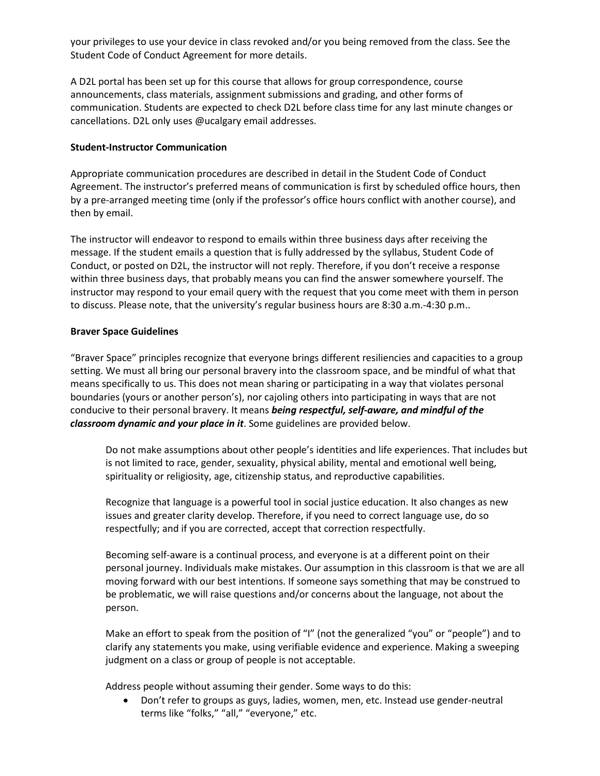your privileges to use your device in class revoked and/or you being removed from the class. See the Student Code of Conduct Agreement for more details.

A D2L portal has been set up for this course that allows for group correspondence, course announcements, class materials, assignment submissions and grading, and other forms of communication. Students are expected to check D2L before class time for any last minute changes or cancellations. D2L only uses @ucalgary email addresses.

### **Student-Instructor Communication**

Appropriate communication procedures are described in detail in the Student Code of Conduct Agreement. The instructor's preferred means of communication is first by scheduled office hours, then by a pre-arranged meeting time (only if the professor's office hours conflict with another course), and then by email.

The instructor will endeavor to respond to emails within three business days after receiving the message. If the student emails a question that is fully addressed by the syllabus, Student Code of Conduct, or posted on D2L, the instructor will not reply. Therefore, if you don't receive a response within three business days, that probably means you can find the answer somewhere yourself. The instructor may respond to your email query with the request that you come meet with them in person to discuss. Please note, that the university's regular business hours are 8:30 a.m.-4:30 p.m..

#### **Braver Space Guidelines**

"Braver Space" principles recognize that everyone brings different resiliencies and capacities to a group setting. We must all bring our personal bravery into the classroom space, and be mindful of what that means specifically to us. This does not mean sharing or participating in a way that violates personal boundaries (yours or another person's), nor cajoling others into participating in ways that are not conducive to their personal bravery. It means *being respectful, self-aware, and mindful of the classroom dynamic and your place in it*. Some guidelines are provided below.

Do not make assumptions about other people's identities and life experiences. That includes but is not limited to race, gender, sexuality, physical ability, mental and emotional well being, spirituality or religiosity, age, citizenship status, and reproductive capabilities.

Recognize that language is a powerful tool in social justice education. It also changes as new issues and greater clarity develop. Therefore, if you need to correct language use, do so respectfully; and if you are corrected, accept that correction respectfully.

Becoming self-aware is a continual process, and everyone is at a different point on their personal journey. Individuals make mistakes. Our assumption in this classroom is that we are all moving forward with our best intentions. If someone says something that may be construed to be problematic, we will raise questions and/or concerns about the language, not about the person.

Make an effort to speak from the position of "I" (not the generalized "you" or "people") and to clarify any statements you make, using verifiable evidence and experience. Making a sweeping judgment on a class or group of people is not acceptable.

Address people without assuming their gender. Some ways to do this:

• Don't refer to groups as guys, ladies, women, men, etc. Instead use gender-neutral terms like "folks," "all," "everyone," etc.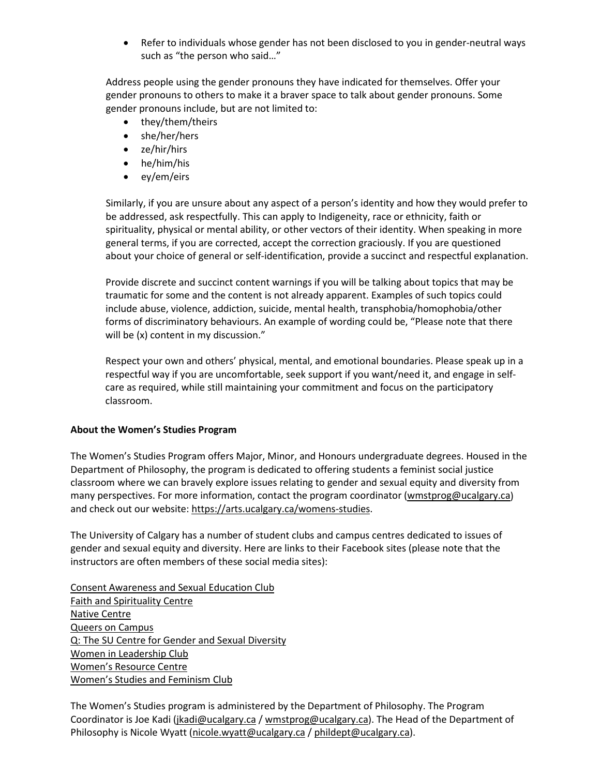• Refer to individuals whose gender has not been disclosed to you in gender-neutral ways such as "the person who said…"

Address people using the gender pronouns they have indicated for themselves. Offer your gender pronouns to others to make it a braver space to talk about gender pronouns. Some gender pronouns include, but are not limited to:

- they/them/theirs
- she/her/hers
- ze/hir/hirs
- he/him/his
- ey/em/eirs

Similarly, if you are unsure about any aspect of a person's identity and how they would prefer to be addressed, ask respectfully. This can apply to Indigeneity, race or ethnicity, faith or spirituality, physical or mental ability, or other vectors of their identity. When speaking in more general terms, if you are corrected, accept the correction graciously. If you are questioned about your choice of general or self-identification, provide a succinct and respectful explanation.

Provide discrete and succinct content warnings if you will be talking about topics that may be traumatic for some and the content is not already apparent. Examples of such topics could include abuse, violence, addiction, suicide, mental health, transphobia/homophobia/other forms of discriminatory behaviours. An example of wording could be, "Please note that there will be (x) content in my discussion."

Respect your own and others' physical, mental, and emotional boundaries. Please speak up in a respectful way if you are uncomfortable, seek support if you want/need it, and engage in selfcare as required, while still maintaining your commitment and focus on the participatory classroom.

#### **About the Women's Studies Program**

The Women's Studies Program offers Major, Minor, and Honours undergraduate degrees. Housed in the Department of Philosophy, the program is dedicated to offering students a feminist social justice classroom where we can bravely explore issues relating to gender and sexual equity and diversity from many perspectives. For more information, contact the program coordinator [\(wmstprog@ucalgary.ca\)](mailto:wmstprog@ucalgary.ca) and check out our website[: https://arts.ucalgary.ca/womens-studies.](https://arts.ucalgary.ca/womens-studies)

The University of Calgary has a number of student clubs and campus centres dedicated to issues of gender and sexual equity and diversity. Here are links to their Facebook sites (please note that the instructors are often members of these social media sites):

[Consent Awareness and Sexual Education Club](https://www.facebook.com/UCalgaryCASE) [Faith and Spirituality Centre](http://www.ucalgary.ca/fsc/) [Native Centre](https://www.ucalgary.ca/nativecentre/) [Queers on Campus](https://www.facebook.com/groups/qcampus/) [Q: The SU Centre for Gender and Sexual Diversity](https://www.facebook.com/pages/Q-The-SU-Centre-for-Sexual-Gender-Diversity/132864866765926) [Women in Leadership Club](https://www.facebook.com/WILUCalgary) [Women's Resource Centre](https://www.facebook.com/WRCcalgary) [Women's Studies and Feminism Club](https://www.facebook.com/groups/327919917307086/)

The Women's Studies program is administered by the Department of Philosophy. The Program Coordinator is Joe Kadi [\(jkadi@ucalgary.ca](mailto:jkadi@ucalgary.ca) [/ wmstprog@ucalgary.ca\)](mailto:wmstprog@ucalgary.ca). The Head of the Department of Philosophy is Nicole Wyatt [\(nicole.wyatt@ucalgary.ca](mailto:nicole.wyatt@ucalgary.ca) / [phildept@ucalgary.ca\)](mailto:phildept@ucalgary.ca).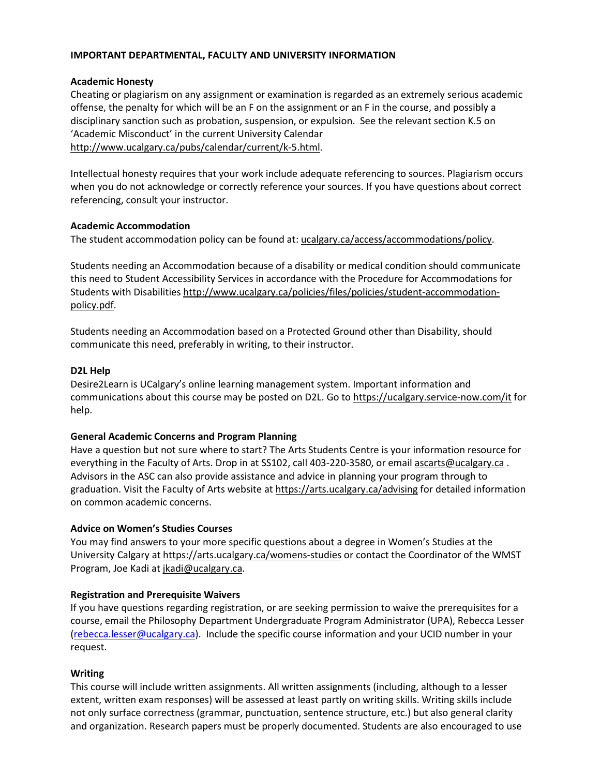### **IMPORTANT DEPARTMENTAL, FACULTY AND UNIVERSITY INFORMATION**

#### **Academic Honesty**

Cheating or plagiarism on any assignment or examination is regarded as an extremely serious academic offense, the penalty for which will be an F on the assignment or an F in the course, and possibly a disciplinary sanction such as probation, suspension, or expulsion. See the relevant section K.5 on 'Academic Misconduct' in the current University Calendar [http://www.ucalgary.ca/pubs/calendar/current/k-5.html.](http://www.ucalgary.ca/pubs/calendar/current/k-5.html)

Intellectual honesty requires that your work include adequate referencing to sources. Plagiarism occurs when you do not acknowledge or correctly reference your sources. If you have questions about correct referencing, consult your instructor.

#### **Academic Accommodation**

The student accommodation policy can be found at: [ucalgary.ca/access/accommodations/policy.](http://www.ucalgary.ca/access/accommodations/policy)

Students needing an Accommodation because of a disability or medical condition should communicate this need to Student Accessibility Services in accordance with the Procedure for Accommodations for Students with Disabilities [http://www.ucalgary.ca/policies/files/policies/student-accommodation](http://www.ucalgary.ca/policies/files/policies/student-accommodation-policy.pdf)[policy.pdf.](http://www.ucalgary.ca/policies/files/policies/student-accommodation-policy.pdf)

Students needing an Accommodation based on a Protected Ground other than Disability, should communicate this need, preferably in writing, to their instructor.

#### **D2L Help**

Desire2Learn is UCalgary's online learning management system. Important information and communications about this course may be posted on D2L. Go t[o https://ucalgary.service-now.com/it](https://ucalgary.service-now.com/it) for help.

#### **General Academic Concerns and Program Planning**

Have a question but not sure where to start? The Arts Students Centre is your information resource for everything in the Faculty of Arts. Drop in at SS102, call 403-220-3580, or email [ascarts@ucalgary.ca](mailto:ascarts@ucalgary.ca). Advisors in the ASC can also provide assistance and advice in planning your program through to graduation. Visit the Faculty of Arts website at<https://arts.ucalgary.ca/advising> for detailed information on common academic concerns.

### **Advice on Women's Studies Courses**

You may find answers to your more specific questions about a degree in Women's Studies at the University Calgary a[t https://arts.ucalgary.ca/womens-studies](https://arts.ucalgary.ca/womens-studies) or contact the Coordinator of the WMST Program, Joe Kadi at [jkadi@ucalgary.ca.](mailto:jkadi@ucalgary.ca)

### **Registration and Prerequisite Waivers**

If you have questions regarding registration, or are seeking permission to waive the prerequisites for a course, email the Philosophy Department Undergraduate Program Administrator (UPA), Rebecca Lesser [\(rebecca.lesser@ucalgary.ca\)](mailto:rebecca.lesser@ucalgary.ca). Include the specific course information and your UCID number in your request.

### **Writing**

This course will include written assignments. All written assignments (including, although to a lesser extent, written exam responses) will be assessed at least partly on writing skills. Writing skills include not only surface correctness (grammar, punctuation, sentence structure, etc.) but also general clarity and organization. Research papers must be properly documented. Students are also encouraged to use